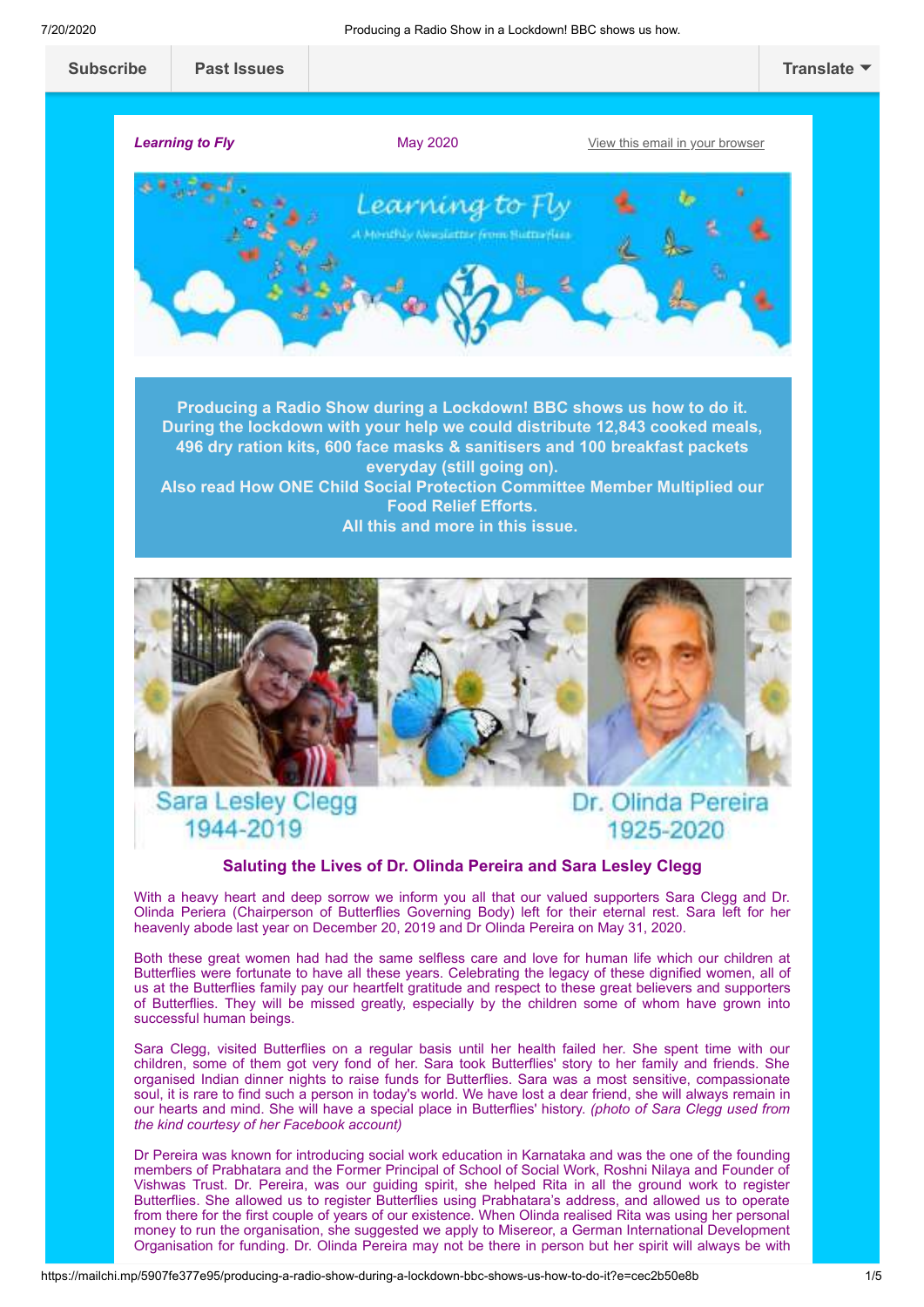

Organisation for funding. Dr. Olinda Pereira may not be there in person but her spirit will always be with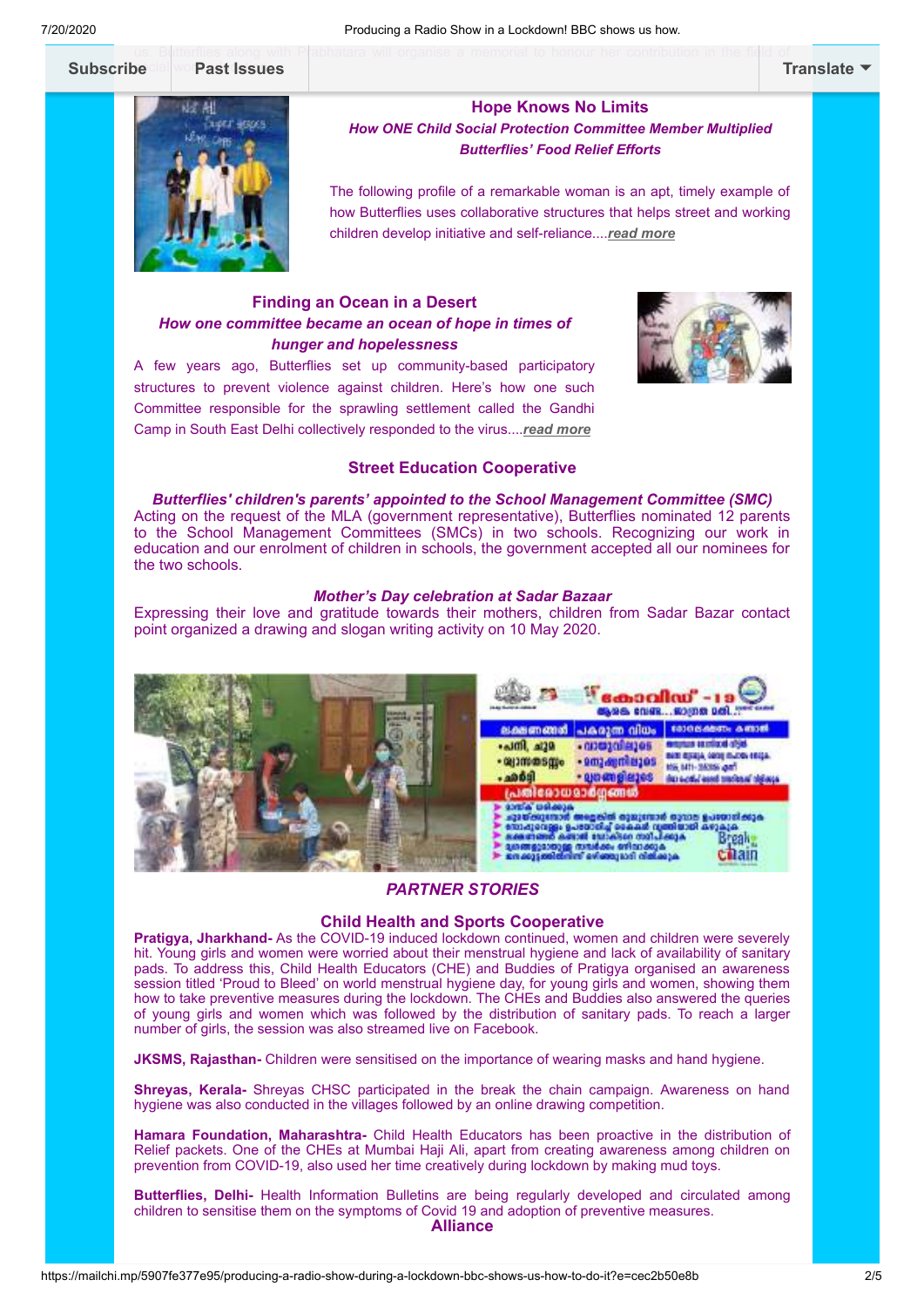#### us. B**i**literflies along with P<mark>r</mark>abhatara will organise a memorial to honour her contribution in the field of Subscribe cial work ast Issues



#### **Hope Knows No Limits** *How ONE Child Social Protection Committee Member Multiplied*

*Butterflies' Food Relief Efforts*

The following profile of a remarkable woman is an apt, timely example of how Butterflies uses collaborative structures that helps street and working children develop initiative and self-reliance....*[read more](https://www.butterflieschildrights.org/hope-knows-no-limits/)*

### **Finding an Ocean in a Desert** *How one committee became an ocean of hope in times of hunger and hopelessness*

A few years ago, Butterflies set up community-based participatory structures to prevent violence against children. Here's how one such Committee responsible for the sprawling settlement called the Gandhi Camp in South East Delhi collectively responded to the virus....*[read more](https://www.butterflieschildrights.org/ocean-in-a-desert/)*



#### **Street Education Cooperative**

*Butterflies' children's parents' appointed to the School Management Committee (SMC)* Acting on the request of the MLA (government representative), Butterflies nominated 12 parents to the School Management Committees (SMCs) in two schools. Recognizing our work in education and our enrolment of children in schools, the government accepted all our nominees for the two schools.

#### *Mother's Day celebration at Sadar Bazaar*

Expressing their love and gratitude towards their mothers, children from Sadar Bazar contact point organized a drawing and slogan writing activity on 10 May 2020.



#### *PARTNER STORIES*

#### **Child Health and Sports Cooperative**

**Pratigya, Jharkhand-** As the COVID-19 induced lockdown continued, women and children were severely hit. Young girls and women were worried about their menstrual hygiene and lack of availability of sanitary pads. To address this, Child Health Educators (CHE) and Buddies of Pratigya organised an awareness session titled 'Proud to Bleed' on world menstrual hygiene day, for young girls and women, showing them how to take preventive measures during the lockdown. The CHEs and Buddies also answered the queries of young girls and women which was followed by the distribution of sanitary pads. To reach a larger number of girls, the session was also streamed live on Facebook.

**JKSMS, Rajasthan-** Children were sensitised on the importance of wearing masks and hand hygiene.

**Shreyas, Kerala-** Shreyas CHSC participated in the break the chain campaign. Awareness on hand hygiene was also conducted in the villages followed by an online drawing competition.

**Hamara Foundation, Maharashtra-** Child Health Educators has been proactive in the distribution of Relief packets. One of the CHEs at Mumbai Haji Ali, apart from creating awareness among children on prevention from COVID-19, also used her time creatively during lockdown by making mud toys.

**Butterflies, Delhi-** Health Information Bulletins are being regularly developed and circulated among children to sensitise them on the symptoms of Covid 19 and adoption of preventive measures. **Alliance**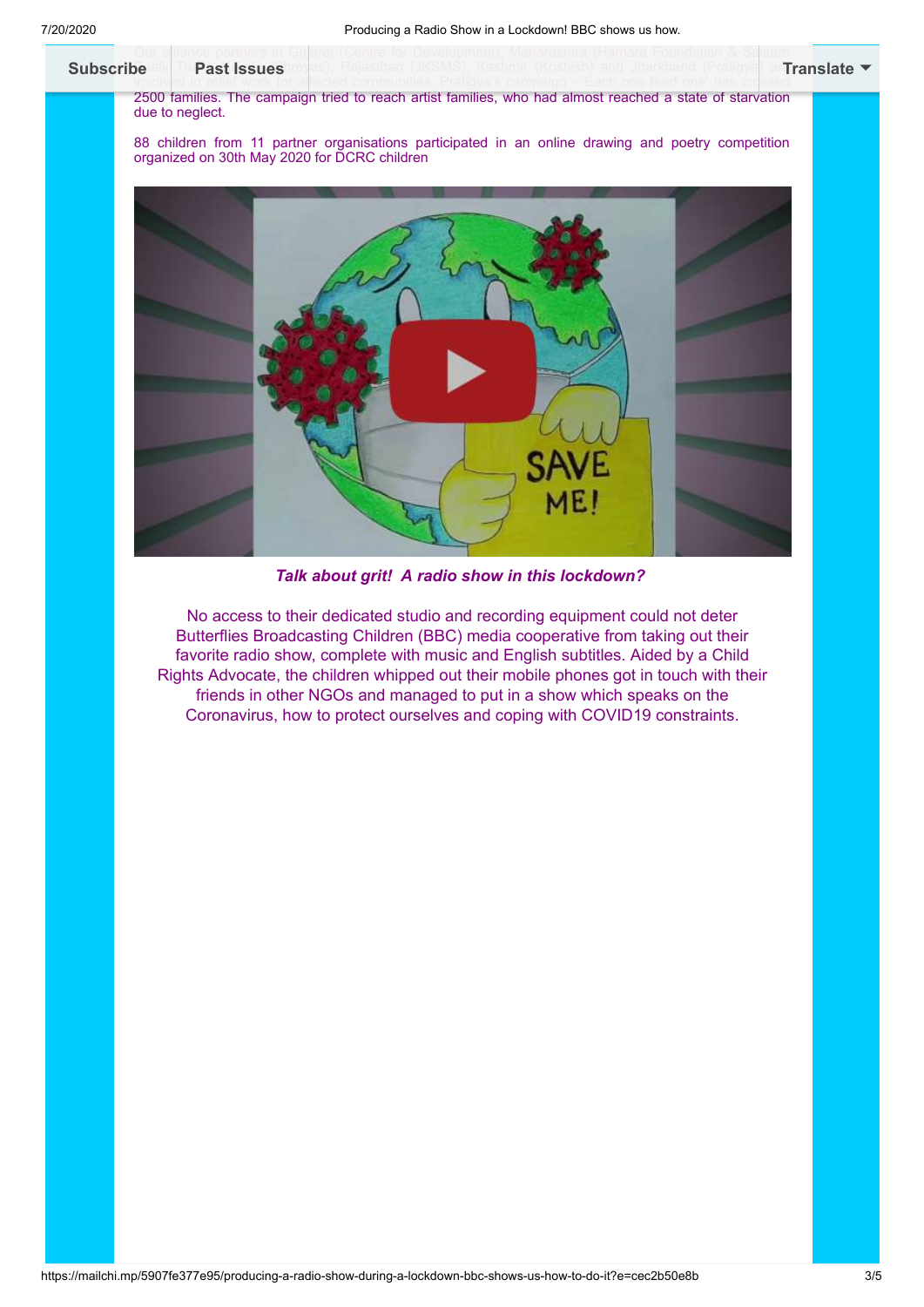

*Talk about grit! A radio show in this lockdown?* 

No access to their dedicated studio and recording equipment could not deter Butterflies Broadcasting Children (BBC) media cooperative from taking out their favorite radio show, complete with music and English subtitles. Aided by a Child Rights Advocate, the children whipped out their mobile phones got in touch with their friends in other NGOs and managed to put in a show which speaks on the Coronavirus, how to protect ourselves and coping with COVID19 constraints.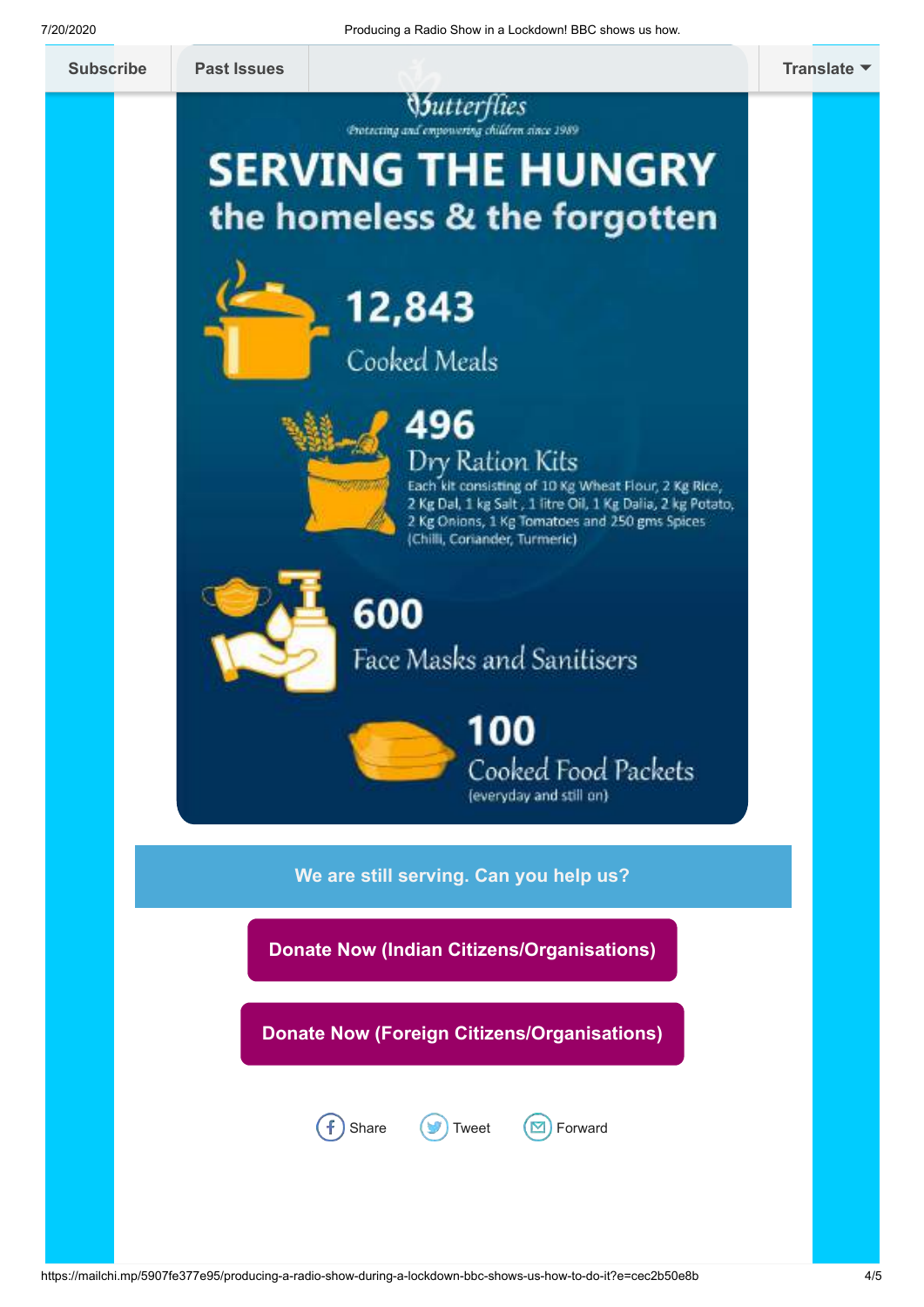### *<u>Sutterflies</u>*

Protecting and empowering children since 1989

# **SERVING THE HUNGRY** the homeless & the forgotten



## 12,843 Cooked Meals



### 496 Dry Ration Kits

Each kit consisting of 10 Kg Wheat Flour, 2 Kg Rice, 2 Kg Dal, 1 kg Salt, 1 litre Oil, 1 Kg Dalia, 2 kg Potato,<br>2 Kg Onions, 1 Kg Tomatoes and 250 gms Spices (Chilli, Coriander, Turmeric)



### 600 Face Masks and Sanitisers

100 Cooked Food Packets (everyday and still on)

**We are still serving. Can you help us?**

**[Donate Now \(Indian Citizens/Organisations\)](https://www.butterflieschildrights.org/covid-donation/)**

**[Donate Now \(Foreign Citizens/Organisations\)](https://app.etapestry.com/hosted/ButterfliesUSA/OnlineDonation.html)**